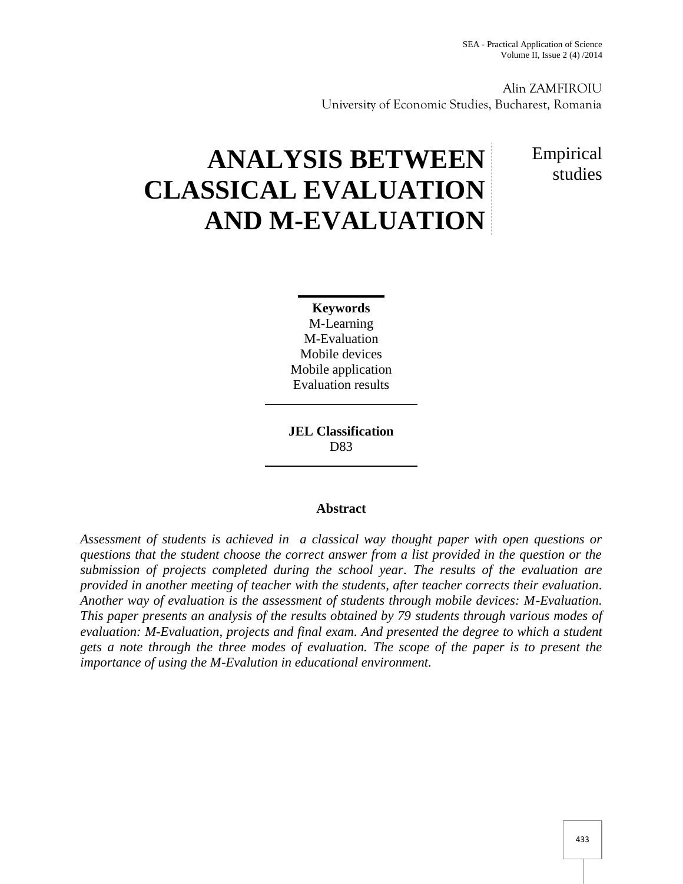Alin ZAMFIROIU University of Economic Studies, Bucharest, Romania

# **ANALYSIS BETWEEN CLASSICAL EVALUATION AND M-EVALUATION**

## Empirical studies

**Keywords** M-Learning M-Evaluation Mobile devices Mobile application Evaluation results

**JEL Classification** D83

### **Abstract**

*Assessment of students is achieved in a classical way thought paper with open questions or questions that the student choose the correct answer from a list provided in the question or the submission of projects completed during the school year. The results of the evaluation are provided in another meeting of teacher with the students, after teacher corrects their evaluation. Another way of evaluation is the assessment of students through mobile devices: M-Evaluation. This paper presents an analysis of the results obtained by 79 students through various modes of evaluation: M-Evaluation, projects and final exam. And presented the degree to which a student gets a note through the three modes of evaluation. The scope of the paper is to present the importance of using the M-Evalution in educational environment.*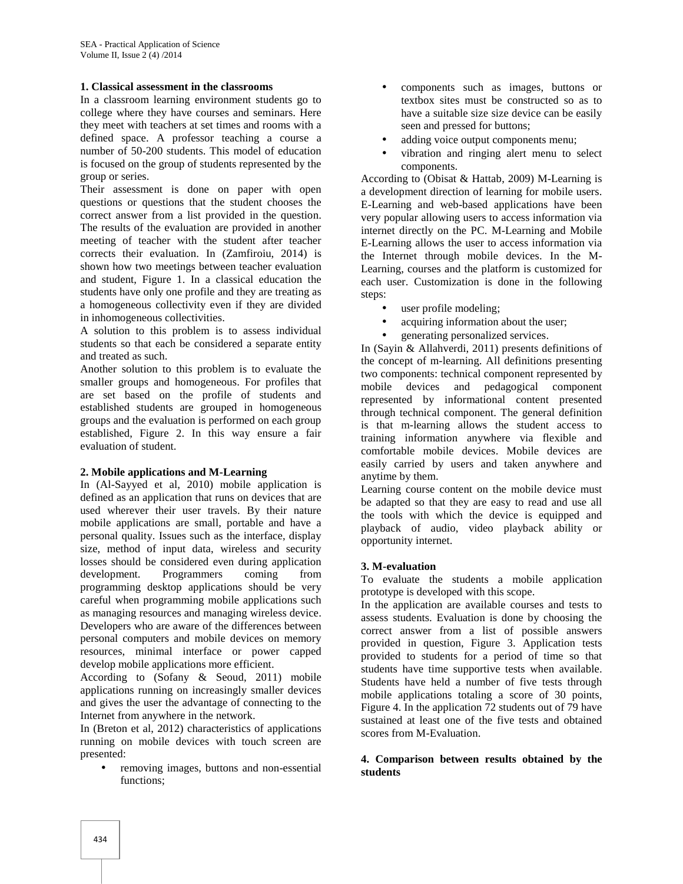#### **1. Classical assessment in the classrooms**

In a classroom learning environment students go to college where they have courses and seminars. Here they meet with teachers at set times and rooms with a defined space. A professor teaching a course a number of 50-200 students. This model of education is focused on the group of students represented by the group or series.

Their assessment is done on paper with open questions or questions that the student chooses the correct answer from a list provided in the question. The results of the evaluation are provided in another meeting of teacher with the student after teacher corrects their evaluation. In (Zamfiroiu, 2014) is shown how two meetings between teacher evaluation and student, Figure 1. In a classical education the students have only one profile and they are treating as a homogeneous collectivity even if they are divided in inhomogeneous collectivities.

A solution to this problem is to assess individual students so that each be considered a separate entity and treated as such.

Another solution to this problem is to evaluate the smaller groups and homogeneous. For profiles that are set based on the profile of students and established students are grouped in homogeneous groups and the evaluation is performed on each group established, Figure 2.In this way ensure a fair evaluation of student.

#### **2. Mobile applications and M-Learning**

In (Al-Sayyed et al, 2010) mobile application is defined as an application that runs on devices that are used wherever their user travels. By their nature mobile applications are small, portable and have a personal quality. Issues such as the interface, display size, method of input data, wireless and security losses should be considered even during application development. Programmers coming from programming desktop applications should be very careful when programming mobile applications such as managing resources and managing wireless device. Developers who are aware of the differences between personal computers and mobile devices on memory resources, minimal interface or power capped develop mobile applications more efficient.

According to (Sofany & Seoud, 2011) mobile applications running on increasingly smaller devices and gives the user the advantage of connecting to the Internet from anywhere in the network.

In (Breton et al, 2012) characteristics of applications running on mobile devices with touch screen are presented:

 removing images, buttons and non-essential functions;

- components such as images, buttons or textbox sites must be constructed so as to have a suitable size size device can be easily seen and pressed for buttons;
- adding voice output components menu;
- vibration and ringing alert menu to select components.

According to (Obisat & Hattab, 2009) M-Learning is a development direction of learning for mobile users. E-Learning and web-based applications have been very popular allowing users to access information via internet directly on the PC. M-Learning and Mobile E-Learning allows the user to access information via the Internet through mobile devices. In the M- Learning, courses and the platform is customized for each user. Customization is done in the following steps:

- user profile modeling;
- acquiring information about the user;
- generating personalized services.

In (Sayin & Allahverdi, 2011) presents definitions of the concept of m-learning. All definitions presenting two components: technical component represented by mobile devices and pedagogical component represented by informational content presented through technical component. The general definition is that m-learning allows the student access to training information anywhere via flexible and comfortable mobile devices. Mobile devices are easily carried by users and taken anywhere and anytime by them.

Learning course content on the mobile device must be adapted so that they are easy to read and use all the tools with which the device is equipped and playback of audio, video playback ability or opportunity internet.

#### **3. M-evaluation**

To evaluate the students a mobile application prototype is developed with this scope.

In the application are available courses and tests to assess students. Evaluation is done by choosing the correct answer from a list of possible answers provided in question, Figure 3. Application tests provided to students for a period of time so that students have time supportive tests when available. Students have held a number of five tests through mobile applications totaling a score of 30 points, Figure 4. In the application 72 students out of 79 have sustained at least one of the five tests and obtained scores from M-Evaluation.

#### **4. Comparison between results obtained by the students**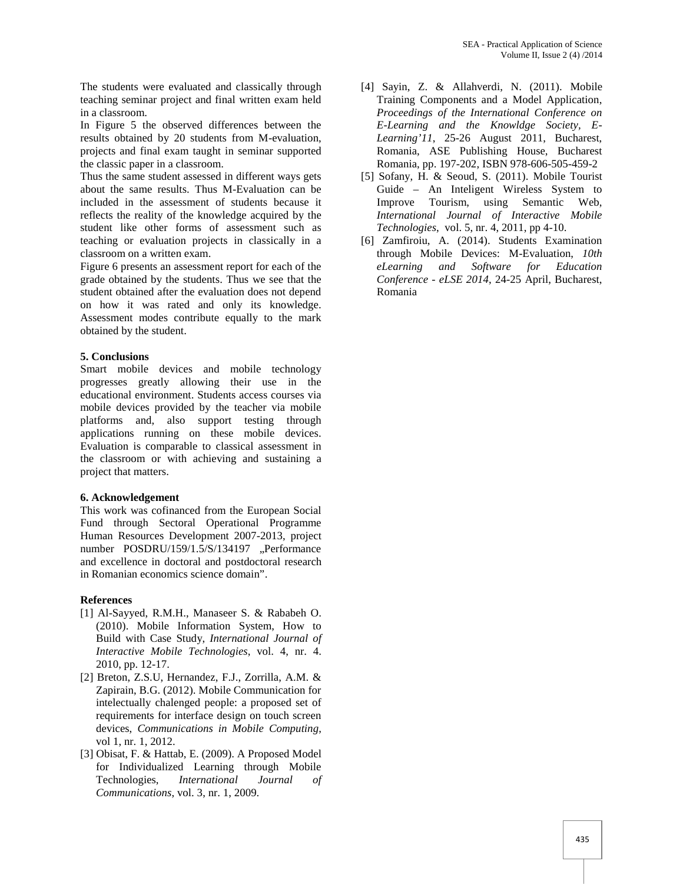The students were evaluated and classically through teaching seminar project and final written exam held in a classroom.

In Figure 5 the observed differences between the results obtained by 20 students from M-evaluation, projects and final exam taught in seminar supported the classic paper in a classroom.

Thus the same student assessed in different ways gets about the same results. Thus M-Evaluation can be included in the assessment of students because it reflects the reality of the knowledge acquired by the student like other forms of assessment such as teaching or evaluation projects in classically in a classroom on a written exam.

Figure 6 presents an assessment report for each of the grade obtained by the students. Thus we see that the student obtained after the evaluation does not depend on how it was rated and only its knowledge. Assessment modes contribute equally to the mark obtained by the student.

#### **5. Conclusions**

Smart mobile devices and mobile technology progresses greatly allowing their use in the educational environment. Students access courses via mobile devices provided by the teacher via mobile platforms and, also support testing through applications running on these mobile devices. Evaluation is comparable to classical assessment in the classroom or with achieving and sustaining a project that matters.

#### **6. Acknowledgement**

This work was cofinanced from the European Social Fund through Sectoral Operational Programme Human Resources Development 2007-2013, project number POSDRU/159/1.5/S/134197 "Performance and excellence in doctoral and postdoctoral research in Romanian economics science domain".

#### **References**

- [1] Al-Sayyed, R.M.H., Manaseer S. & Rababeh O. (2010). Mobile Information System, How to Build with Case Study, *International Journal of Interactive Mobile Technologies*, vol. 4, nr. 4. 2010, pp. 12-17.
- [2] Breton, Z.S.U, Hernandez, F.J., Zorrilla, A.M. & Zapirain, B.G. (2012). Mobile Communication for intelectually chalenged people: a proposed set of requirements for interface design on touch screen devices, *Communications in Mobile Computing*, vol 1, nr. 1, 2012.
- [3] Obisat, F. & Hattab, E. (2009). A Proposed Model for Individualized Learning through Mobile Technologies, *International Journal of Communications*, vol. 3, nr. 1, 2009.
- [4] Sayin, Z. & Allahverdi, N. (2011). Mobile Training Components and a Model Application, *Proceedings of the International Conference on E-Learning and the Knowldge Society, E- Learning'11*, 25-26 August 2011, Bucharest, Romania, ASE Publishing House, Bucharest Romania, pp. 197-202, ISBN 978-606-505-459-2
- [5] Sofany, H. & Seoud, S. (2011). Mobile Tourist Guide – An Inteligent Wireless System to Improve Tourism, using Semantic Web, *International Journal of Interactive Mobile Technologies*, vol. 5, nr. 4, 2011, pp 4-10.
- [6] Zamfiroiu, A. (2014). Students Examination through Mobile Devices: M-Evaluation, *10th eLearning and Software for Education Conference - eLSE 2014*, 24-25 April, Bucharest, Romania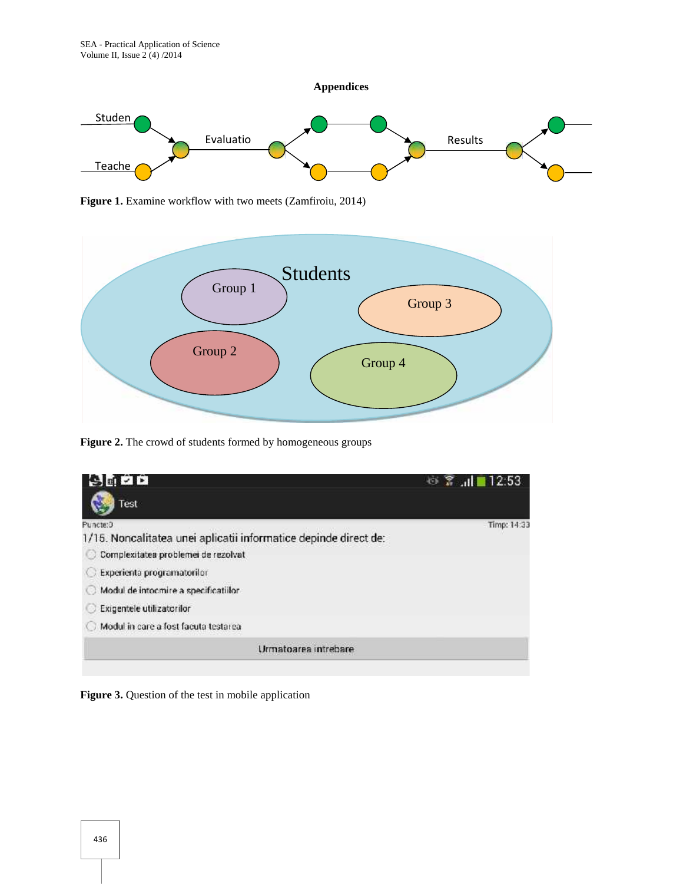

**Figure 1.** Examine workflow with two meets (Zamfiroiu, 2014)



**Figure 2.** The crowd of students formed by homogeneous groups



**Figure 3.** Question of the test in mobile application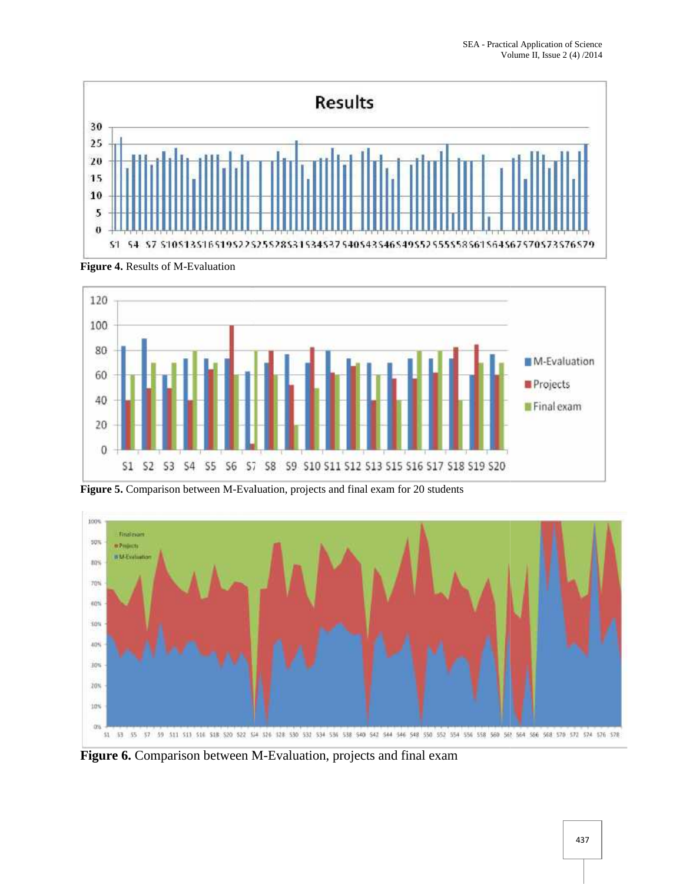



**Figure 4.** Results of M-Evaluation

**Figure 5.** Comparison between M-Evaluation, projects and final exam for 20 students



**Figure 6.** Comparison between M-Evaluation, projects and final exam